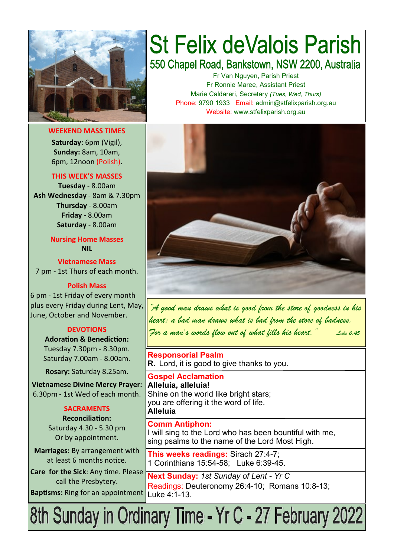

**WEEKEND MASS TIMES Saturday:** 6pm (Vigil), **Sunday:** 8am, 10am, 6pm, 12noon (Polish).

**THIS WEEK'S MASSES** 

**Tuesday** - 8.00am **Ash Wednesday** - 8am & 7.30pm **Thursday** - 8.00am **Friday** - 8.00am **Saturday** - 8.00am

> **Nursing Home Masses NIL**

**Vietnamese Mass** 7 pm - 1st Thurs of each month.

**Polish Mass**

6 pm - 1st Friday of every month plus every Friday during Lent, May, June, October and November.

#### **DEVOTIONS**

**Adoration & Benediction:**  Tuesday 7.30pm - 8.30pm. Saturday 7.00am - 8.00am.

**Rosary:** Saturday 8.25am.

**Vietnamese Divine Mercy Prayer:** 6.30pm - 1st Wed of each month.

#### **SACRAMENTS**

**Reconciliation:**  Saturday 4.30 - 5.30 pm Or by appointment.

**Marriages:** By arrangement with at least 6 months notice.

**Care for the Sick**: Any time. Please call the Presbytery. **Baptisms:** Ring for an appointment

# **St Felix deValois Parish** 550 Chapel Road, Bankstown, NSW 2200, Australia

Fr Van Nguyen, Parish Priest Fr Ronnie Maree, Assistant Priest Marie Caldareri, Secretary *(Tues, Wed, Thurs)* Phone: 9790 1933 Email: admin@stfelixparish.org.au Website: www.stfelixparish.org.au



*"A good man draws what is good from the store of goodness in his heart; a bad man draws what is bad from the store of badness. For a man's words flow out of what fills his heart." Luke 6:45*

**Responsorial Psalm R.** Lord, it is good to give thanks to you.

**Gospel Acclamation Alleluia, alleluia!** Shine on the world like bright stars; you are offering it the word of life. **Alleluia**

**Comm Antiphon:**  I will sing to the Lord who has been bountiful with me, sing psalms to the name of the Lord Most High.

**This weeks readings:** Sirach 27:4-7; 1 Corinthians 15:54-58; Luke 6:39-45.

**Next Sunday:** *1st Sunday of Lent - Yr C* Readings: Deuteronomy 26:4-10; Romans 10:8-13; Luke 4:1-13.

8th Sunday in Ordinary Time - Yr C - 27 February 2022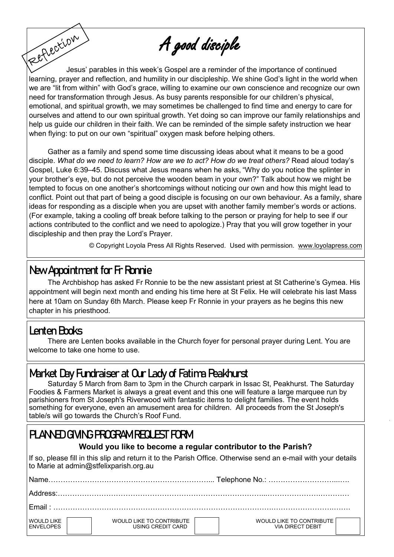A good disciple

Fettection Jesus' parables in this week's Gospel are a reminder of the importance of continued learning, prayer and reflection, and humility in our discipleship. We shine God's light in the world when we are "lit from within" with God's grace, willing to examine our own conscience and recognize our own need for transformation through Jesus. As busy parents responsible for our children's physical, emotional, and spiritual growth, we may sometimes be challenged to find time and energy to care for ourselves and attend to our own spiritual growth. Yet doing so can improve our family relationships and help us guide our children in their faith. We can be reminded of the simple safety instruction we hear when flying: to put on our own "spiritual" oxygen mask before helping others.

Gather as a family and spend some time discussing ideas about what it means to be a good disciple. *What do we need to learn? How are we to act? How do we treat others?* Read aloud today's Gospel, Luke 6:39–45. Discuss what Jesus means when he asks, "Why do you notice the splinter in your brother's eye, but do not perceive the wooden beam in your own?" Talk about how we might be tempted to focus on one another's shortcomings without noticing our own and how this might lead to conflict. Point out that part of being a good disciple is focusing on our own behaviour. As a family, share ideas for responding as a disciple when you are upset with another family member's words or actions. (For example, taking a cooling off break before talking to the person or praying for help to see if our actions contributed to the conflict and we need to apologize.) Pray that you will grow together in your discipleship and then pray the Lord's Prayer.

© Copyright Loyola Press All Rights Reserved. Used with permission. [www.loyolapress.com](http://www.loyolapress.com)

#### **New Appointment for Fr Ronnie**

The Archbishop has asked Fr Ronnie to be the new assistant priest at St Catherine's Gymea. His appointment will begin next month and ending his time here at St Felix. He will celebrate his last Mass here at 10am on Sunday 6th March. Please keep Fr Ronnie in your prayers as he begins this new chapter in his priesthood.

# **Lenten Books**

There are Lenten books available in the Church foyer for personal prayer during Lent. You are welcome to take one home to use.

# **Market Day Fundraiser at Our Lady of Fatima Peakhurst**

Saturday 5 March from 8am to 3pm in the Church carpark in Issac St, Peakhurst. The Saturday Foodies & Farmers Market is always a great event and this one will feature a large marquee run by parishioners from St Joseph's Riverwood with fantastic items to delight families. The event holds something for everyone, even an amusement area for children. All proceeds from the St Joseph's table/s will go towards the Church's Roof Fund.

# **PLANNED GIVING PROGRAM REQUEST FORM**

#### **Would you like to become a regular contributor to the Parish?**

If so, please fill in this slip and return it to the Parish Office. Otherwise send an e-mail with your details to Marie at admin@stfelixparish.org.au

| Name                                  |                                               |                                              |  |  |  |
|---------------------------------------|-----------------------------------------------|----------------------------------------------|--|--|--|
|                                       |                                               |                                              |  |  |  |
|                                       |                                               |                                              |  |  |  |
| <b>WOULD LIKE</b><br><b>FNVELOPES</b> | WOULD LIKE TO CONTRIBUTE<br>USING CREDIT CARD | WOULD LIKE TO CONTRIBUTE<br>VIA DIRECT DEBIT |  |  |  |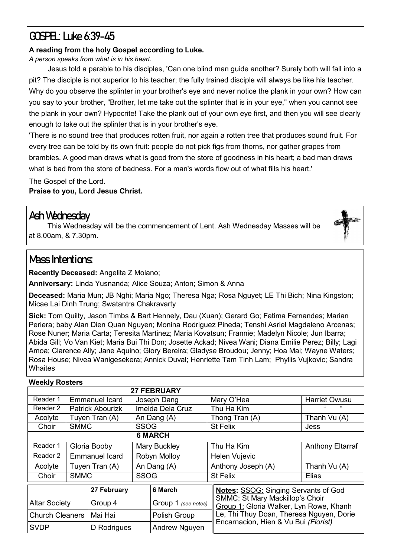# **GOSPEL: Luke 6:39-45**

#### **A reading from the holy Gospel according to Luke.**

*A person speaks from what is in his heart.*

Jesus told a parable to his disciples, 'Can one blind man guide another? Surely both will fall into a pit? The disciple is not superior to his teacher; the fully trained disciple will always be like his teacher. Why do you observe the splinter in your brother's eye and never notice the plank in your own? How can you say to your brother, "Brother, let me take out the splinter that is in your eye," when you cannot see the plank in your own? Hypocrite! Take the plank out of your own eye first, and then you will see clearly enough to take out the splinter that is in your brother's eye.

'There is no sound tree that produces rotten fruit, nor again a rotten tree that produces sound fruit. For every tree can be told by its own fruit: people do not pick figs from thorns, nor gather grapes from brambles. A good man draws what is good from the store of goodness in his heart; a bad man draws what is bad from the store of badness. For a man's words flow out of what fills his heart.'

The Gospel of the Lord. **Praise to you, Lord Jesus Christ.**

#### **Ash Wednesday**

This Wednesday will be the commencement of Lent. Ash Wednesday Masses will be at 8.00am, & 7.30pm.

# **Mass Intentions:**

**Recently Deceased:** Angelita Z Molano;

**Anniversary:** Linda Yusnanda; Alice Souza; Anton; Simon & Anna

**Deceased:** Maria Mun; JB Nghi; Maria Ngo; Theresa Nga; Rosa Nguyet; LE Thi Bich; Nina Kingston; Micae Lai Dinh Trung; Swatantra Chakravarty

**Sick:** Tom Quilty, Jason Timbs & Bart Hennely, Dau (Xuan); Gerard Go; Fatima Fernandes; Marian Periera; baby Alan Dien Quan Nguyen; Monina Rodriguez Pineda; Tenshi Asriel Magdaleno Arcenas; Rose Nuner; Maria Carta; Teresita Martinez; Maria Kovatsun; Frannie; Madelyn Nicole; Jun Ibarra; Abida Gill; Vo Van Kiet; Maria Bui Thi Don; Josette Ackad; Nivea Wani; Diana Emilie Perez; Billy; Lagi Amoa; Clarence Ally; Jane Aquino; Glory Bereira; Gladyse Broudou; Jenny; Hoa Mai; Wayne Waters; Rosa House; Nivea Wanigesekera; Annick Duval; Henriette Tam Tinh Lam; Phyllis Vujkovic; Sandra **Whaites** 

#### **Weekly Rosters**

| <b>27 FEBRUARY</b>     |                       |                         |                     |                     |                                                                                   |                         |  |  |  |  |  |
|------------------------|-----------------------|-------------------------|---------------------|---------------------|-----------------------------------------------------------------------------------|-------------------------|--|--|--|--|--|
| Reader 1               | <b>Emmanuel Icard</b> |                         | Joseph Dang         |                     | Mary O'Hea                                                                        | <b>Harriet Owusu</b>    |  |  |  |  |  |
| Reader 2               |                       | <b>Patrick Abourizk</b> | Imelda Dela Cruz    |                     | Thu Ha Kim                                                                        |                         |  |  |  |  |  |
| Acolyte                |                       | Tuyen Tran (A)          | An Dang (A)         |                     | Thong Tran (A)                                                                    | Thanh Vu (A)            |  |  |  |  |  |
| Choir                  | <b>SMMC</b>           |                         | <b>SSOG</b>         |                     | <b>St Felix</b>                                                                   | Jess                    |  |  |  |  |  |
| <b>6 MARCH</b>         |                       |                         |                     |                     |                                                                                   |                         |  |  |  |  |  |
| Reader 1               |                       | Gloria Booby            | <b>Mary Buckley</b> |                     | Thu Ha Kim                                                                        | <b>Anthony Eltarraf</b> |  |  |  |  |  |
| Reader 2               | <b>Emmanuel Icard</b> |                         | Robyn Molloy        |                     | Helen Vujevic                                                                     |                         |  |  |  |  |  |
| Acolyte                | Tuyen Tran (A)        |                         | An Dang (A)         |                     | Anthony Joseph (A)                                                                | Thanh Vu (A)            |  |  |  |  |  |
| Choir                  | <b>SMMC</b>           |                         | <b>SSOG</b>         |                     | <b>St Felix</b>                                                                   | Elias                   |  |  |  |  |  |
|                        |                       | 27 February             |                     | 6 March             | <b>Notes: SSOG: Singing Servants of God</b>                                       |                         |  |  |  |  |  |
| <b>Altar Society</b>   |                       | Group 4                 |                     | Group 1 (see notes) | <b>SMMC: St Mary Mackillop's Choir</b><br>Group 1: Gloria Walker, Lyn Rowe, Khanh |                         |  |  |  |  |  |
| <b>Church Cleaners</b> |                       | Mai Hai                 |                     | Polish Group        | Le, Thi Thuy Doan, Theresa Nguyen, Dorie                                          |                         |  |  |  |  |  |
| <b>SVDP</b>            |                       | D Rodrigues             |                     | Andrew Nguyen       | Encarnacion, Hien & Vu Bui (Florist)                                              |                         |  |  |  |  |  |